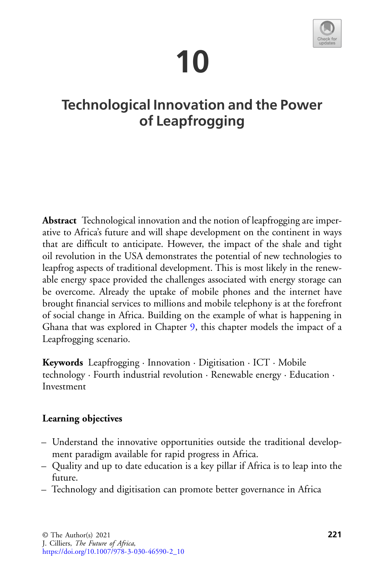# **10**



# **Technological Innovation and the Power of Leapfrogging**

**Abstract** Technological innovation and the notion of leapfrogging are imperative to Africa's future and will shape development on the continent in ways that are difficult to anticipate. However, the impact of the shale and tight oil revolution in the USA demonstrates the potential of new technologies to leapfrog aspects of traditional development. This is most likely in the renewable energy space provided the challenges associated with energy storage can be overcome. Already the uptake of mobile phones and the internet have brought financial services to millions and mobile telephony is at the forefront of social change in Africa. Building on the example of what is happening in Ghana that was explored in Chapter 9, this chapter models the impact of a Leapfrogging scenario.

**Keywords** Leapfrogging · Innovation · Digitisation · ICT · Mobile technology · Fourth industrial revolution · Renewable energy · Education · Investment

#### **Learning objectives**

- Understand the innovative opportunities outside the traditional development paradigm available for rapid progress in Africa.
- Quality and up to date education is a key pillar if Africa is to leap into the future.
- Technology and digitisation can promote better governance in Africa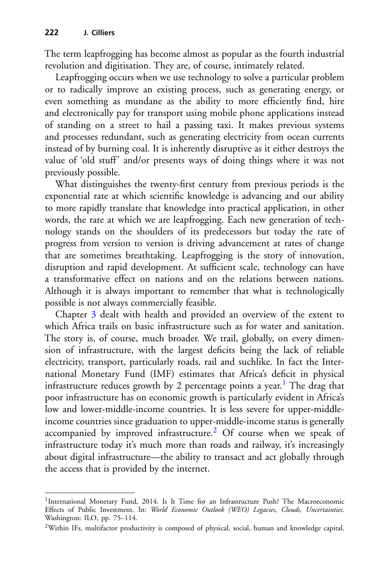The term leapfrogging has become almost as popular as the fourth industrial revolution and digitisation. They are, of course, intimately related.

Leapfrogging occurs when we use technology to solve a particular problem or to radically improve an existing process, such as generating energy, or even something as mundane as the ability to more efficiently find, hire and electronically pay for transport using mobile phone applications instead of standing on a street to hail a passing taxi. It makes previous systems and processes redundant, such as generating electricity from ocean currents instead of by burning coal. It is inherently disruptive as it either destroys the value of 'old stuff' and/or presents ways of doing things where it was not previously possible.

What distinguishes the twenty-first century from previous periods is the exponential rate at which scientific knowledge is advancing and our ability to more rapidly translate that knowledge into practical application, in other words, the rate at which we are leapfrogging. Each new generation of technology stands on the shoulders of its predecessors but today the rate of progress from version to version is driving advancement at rates of change that are sometimes breathtaking. Leapfrogging is the story of innovation, disruption and rapid development. At sufficient scale, technology can have a transformative effect on nations and on the relations between nations. Although it is always important to remember that what is technologically possible is not always commercially feasible.

Chapter 3 dealt with health and provided an overview of the extent to which Africa trails on basic infrastructure such as for water and sanitation. The story is, of course, much broader. We trail, globally, on every dimension of infrastructure, with the largest deficits being the lack of reliable electricity, transport, particularly roads, rail and suchlike. In fact the International Monetary Fund (IMF) estimates that Africa's deficit in physical infrastructure reduces growth by 2 percentage points a year.<sup>1</sup> The drag that poor infrastructure has on economic growth is particularly evident in Africa's low and lower-middle-income countries. It is less severe for upper-middleincome countries since graduation to upper-middle-income status is generally accompanied by improved infrastructure.<sup>[2](#page-1-1)</sup> Of course when we speak of infrastructure today it's much more than roads and railway, it's increasingly about digital infrastructure—the ability to transact and act globally through the access that is provided by the internet.

<span id="page-1-0"></span><sup>&</sup>lt;sup>1</sup>International Monetary Fund, 2014. Is It Time for an Infrastructure Push? The Macroeconomic Effects of Public Investment. In: *World Economic Outlook (WEO) Legacies, Clouds, Uncertainties*. Washington: ILO, pp. 75–114.

<span id="page-1-1"></span><sup>2</sup>Within IFs, multifactor productivity is composed of physical, social, human and knowledge capital.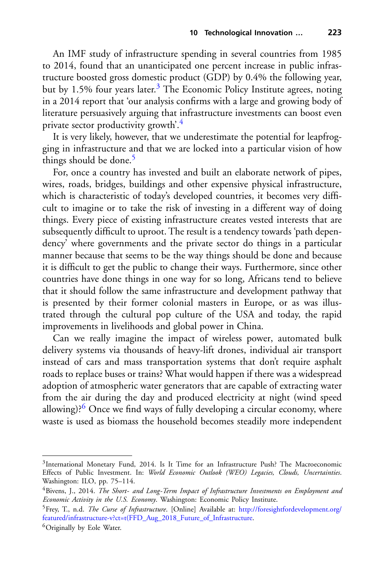An IMF study of infrastructure spending in several countries from 1985 to 2014, found that an unanticipated one percent increase in public infrastructure boosted gross domestic product (GDP) by 0.4% the following year, but by 1.5% four years later.<sup>3</sup> The Economic Policy Institute agrees, noting in a 2014 report that 'our analysis confirms with a large and growing body of literature persuasively arguing that infrastructure investments can boost even private sector productivity growth'[.4](#page-2-1)

It is very likely, however, that we underestimate the potential for leapfrogging in infrastructure and that we are locked into a particular vision of how things should be done.<sup>[5](#page-2-2)</sup>

For, once a country has invested and built an elaborate network of pipes, wires, roads, bridges, buildings and other expensive physical infrastructure, which is characteristic of today's developed countries, it becomes very difficult to imagine or to take the risk of investing in a different way of doing things. Every piece of existing infrastructure creates vested interests that are subsequently difficult to uproot. The result is a tendency towards 'path dependency' where governments and the private sector do things in a particular manner because that seems to be the way things should be done and because it is difficult to get the public to change their ways. Furthermore, since other countries have done things in one way for so long, Africans tend to believe that it should follow the same infrastructure and development pathway that is presented by their former colonial masters in Europe, or as was illustrated through the cultural pop culture of the USA and today, the rapid improvements in livelihoods and global power in China.

Can we really imagine the impact of wireless power, automated bulk delivery systems via thousands of heavy-lift drones, individual air transport instead of cars and mass transportation systems that don't require asphalt roads to replace buses or trains? What would happen if there was a widespread adoption of atmospheric water generators that are capable of extracting water from the air during the day and produced electricity at night (wind speed allowing)? $6$  Once we find ways of fully developing a circular economy, where waste is used as biomass the household becomes steadily more independent

<span id="page-2-0"></span><sup>&</sup>lt;sup>3</sup>International Monetary Fund, 2014. Is It Time for an Infrastructure Push? The Macroeconomic Effects of Public Investment. In: *World Economic Outlook (WEO) Legacies, Clouds, Uncertainties*. Washington: ILO, pp. 75–114.

<span id="page-2-1"></span><sup>4</sup>Bivens, J., 2014. *The Short*- *and Long*-*Term Impact of Infrastructure Investments on Employment and Economic Activity in the U.S. Economy*. Washington: Economic Policy Institute.

<span id="page-2-2"></span><sup>5</sup>Frey, T., n.d. *The Curse of Infrastructure*. [Online] Available at: http://foresightfordevelopment.org/ [featured/infrastructure-v?ct=t\(FFD\\_Aug\\_2018\\_Future\\_of\\_Infrastructure.](http://foresightfordevelopment.org/featured/infrastructure-v%3fct%3dt(FFD_Aug_2018_Future_of_Infrastructure)

<span id="page-2-3"></span><sup>6</sup>Originally by Eole Water.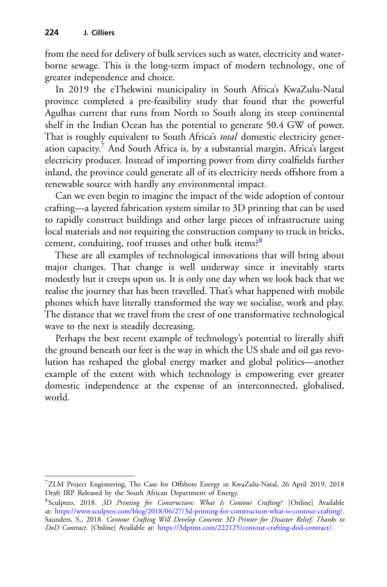from the need for delivery of bulk services such as water, electricity and waterborne sewage. This is the long-term impact of modern technology, one of greater independence and choice.

In 2019 the eThekwini municipality in South Africa's KwaZulu-Natal province completed a pre-feasibility study that found that the powerful Agulhas current that runs from North to South along its steep continental shelf in the Indian Ocean has the potential to generate 50.4 GW of power. That is roughly equivalent to South Africa's *total* domestic electricity generation capacity[.7](#page-3-0) And South Africa is, by a substantial margin, Africa's largest electricity producer. Instead of importing power from dirty coalfields further inland, the province could generate all of its electricity needs offshore from a renewable source with hardly any environmental impact.

Can we even begin to imagine the impact of the wide adoption of contour crafting—a layered fabrication system similar to 3D printing that can be used to rapidly construct buildings and other large pieces of infrastructure using local materials and not requiring the construction company to truck in bricks, cement, conduiting, roof trusses and other bulk items?<sup>[8](#page-3-1)</sup>

These are all examples of technological innovations that will bring about major changes. That change is well underway since it inevitably starts modestly but it creeps upon us. It is only one day when we look back that we realise the journey that has been travelled. That's what happened with mobile phones which have literally transformed the way we socialise, work and play. The distance that we travel from the crest of one transformative technological wave to the next is steadily decreasing.

Perhaps the best recent example of technology's potential to literally shift the ground beneath our feet is the way in which the US shale and oil gas revolution has reshaped the global energy market and global politics—another example of the extent with which technology is empowering ever greater domestic independence at the expense of an interconnected, globalised, world.

<span id="page-3-0"></span><sup>7</sup>ZLM Project Engineering, The Case for Offshore Energy in KwaZulu-Natal, 26 April 2019, 2018 Draft IRP Released by the South African Department of Energy.

<span id="page-3-1"></span><sup>8</sup>Sculpteo, 2018. *3D Printing for Construction: What Is Contour Crafting?* [Online] Available at: [https://www.sculpteo.com/blog/2018/06/27/3d-printing-for-construction-what-is-contour-crafting/.](https://www.sculpteo.com/blog/2018/06/27/3d-printing-for-construction-what-is-contour-crafting/) Saunders, S., 2018. *Contour Crafting Will Develop Concrete 3D Printer for Disaster Relief, Thanks to DoD Contract*. [Online] Available at: [https://3dprint.com/222125/contour-crafting-dod-contract/.](https://3dprint.com/222125/contour-crafting-dod-contract/)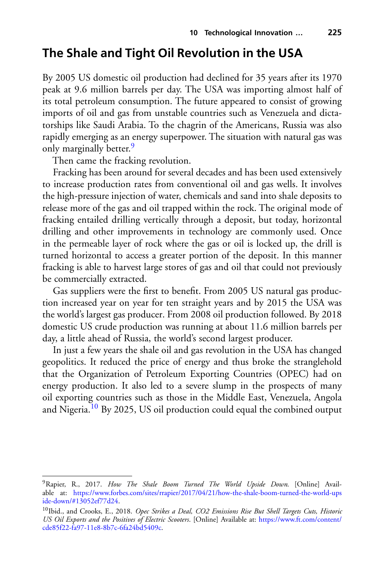### **The Shale and Tight Oil Revolution in the USA**

By 2005 US domestic oil production had declined for 35 years after its 1970 peak at 9.6 million barrels per day. The USA was importing almost half of its total petroleum consumption. The future appeared to consist of growing imports of oil and gas from unstable countries such as Venezuela and dictatorships like Saudi Arabia. To the chagrin of the Americans, Russia was also rapidly emerging as an energy superpower. The situation with natural gas was only marginally better.<sup>[9](#page-4-0)</sup>

Then came the fracking revolution.

Fracking has been around for several decades and has been used extensively to increase production rates from conventional oil and gas wells. It involves the high-pressure injection of water, chemicals and sand into shale deposits to release more of the gas and oil trapped within the rock. The original mode of fracking entailed drilling vertically through a deposit, but today, horizontal drilling and other improvements in technology are commonly used. Once in the permeable layer of rock where the gas or oil is locked up, the drill is turned horizontal to access a greater portion of the deposit. In this manner fracking is able to harvest large stores of gas and oil that could not previously be commercially extracted.

Gas suppliers were the first to benefit. From 2005 US natural gas production increased year on year for ten straight years and by 2015 the USA was the world's largest gas producer. From 2008 oil production followed. By 2018 domestic US crude production was running at about 11.6 million barrels per day, a little ahead of Russia, the world's second largest producer.

In just a few years the shale oil and gas revolution in the USA has changed geopolitics. It reduced the price of energy and thus broke the stranglehold that the Organization of Petroleum Exporting Countries (OPEC) had on energy production. It also led to a severe slump in the prospects of many oil exporting countries such as those in the Middle East, Venezuela, Angola and Nigeria.[10](#page-4-1) By 2025, US oil production could equal the combined output

<span id="page-4-0"></span><sup>9</sup>Rapier, R., 2017. *How The Shale Boom Turned The World Upside Down*. [Online] Available at: [https://www.forbes.com/sites/rrapier/2017/04/21/how-the-shale-boom-turned-the-world-ups](https://www.forbes.com/sites/rrapier/2017/04/21/how-the-shale-boom-turned-the-world-upside-down/#13052ef77d24) ide-down/#13052ef77d24.

<span id="page-4-1"></span><sup>10</sup>Ibid., and Crooks, E., 2018. *Opec Strikes a Deal, CO2 Emissions Rise But Shell Targets Cuts, Historic [US Oil Exports and the Positives of Electric Scooters](https://www.ft.com/content/cde85f22-fa97-11e8-8b7c-6fa24bd5409c)*. [Online] Available at: https://www.ft.com/content/ cde85f22-fa97-11e8-8b7c-6fa24bd5409c.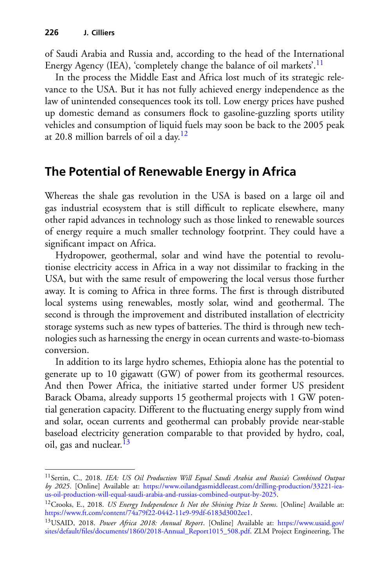of Saudi Arabia and Russia and, according to the head of the International Energy Agency (IEA), 'completely change the balance of oil markets'.<sup>[11](#page-5-0)</sup>

In the process the Middle East and Africa lost much of its strategic relevance to the USA. But it has not fully achieved energy independence as the law of unintended consequences took its toll. Low energy prices have pushed up domestic demand as consumers flock to gasoline-guzzling sports utility vehicles and consumption of liquid fuels may soon be back to the 2005 peak at 20.8 million barrels of oil a day.<sup>12</sup>

## **The Potential of Renewable Energy in Africa**

Whereas the shale gas revolution in the USA is based on a large oil and gas industrial ecosystem that is still difficult to replicate elsewhere, many other rapid advances in technology such as those linked to renewable sources of energy require a much smaller technology footprint. They could have a significant impact on Africa.

Hydropower, geothermal, solar and wind have the potential to revolutionise electricity access in Africa in a way not dissimilar to fracking in the USA, but with the same result of empowering the local versus those further away. It is coming to Africa in three forms. The first is through distributed local systems using renewables, mostly solar, wind and geothermal. The second is through the improvement and distributed installation of electricity storage systems such as new types of batteries. The third is through new technologies such as harnessing the energy in ocean currents and waste-to-biomass conversion.

In addition to its large hydro schemes, Ethiopia alone has the potential to generate up to 10 gigawatt (GW) of power from its geothermal resources. And then Power Africa, the initiative started under former US president Barack Obama, already supports 15 geothermal projects with 1 GW potential generation capacity. Different to the fluctuating energy supply from wind and solar, ocean currents and geothermal can probably provide near-stable baseload electricity generation comparable to that provided by hydro, coal, oil, gas and nuclear.  $^{13}$ 

<span id="page-5-0"></span><sup>11</sup>Sertin, C., 2018. *IEA: US Oil Production Will Equal Saudi Arabia and Russia's Combined Output by 2025*. [Online] Available at: https://www.oilandgasmiddleeast.com/drilling-production/33221-iea[us-oil-production-will-equal-saudi-arabia-and-russias-combined-output-by-2025.](https://www.oilandgasmiddleeast.com/drilling-production/33221-iea-us-oil-production-will-equal-saudi-arabia-and-russias-combined-output-by-2025)

<span id="page-5-1"></span><sup>12</sup>Crooks, E., 2018. *US Energy Independence Is Not the Shining Prize It Seems*. [Online] Available at: [https://www.ft.com/content/74a79f22-0442-11e9-99df-6183d3002ee1.](https://www.ft.com/content/74a79f22-0442-11e9-99df-6183d3002ee1)

<span id="page-5-2"></span><sup>13</sup>USAID, 2018. *Power Africa 2018: Annual Report*. [Online] Available at: https://www.usaid.gov/ [sites/default/files/documents/1860/2018-Annual\\_Report1015\\_508.pdf. ZLM Project Engineering, The](https://www.usaid.gov/sites/default/files/documents/1860/2018-Annual_Report1015_508.pdf)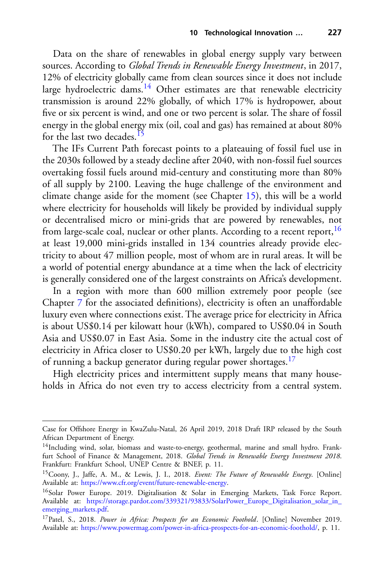Data on the share of renewables in global energy supply vary between sources. According to *Global Trends in Renewable Energy Investment*, in 2017, 12% of electricity globally came from clean sources since it does not include large hydroelectric dams.<sup>14</sup> Other estimates are that renewable electricity transmission is around 22% globally, of which 17% is hydropower, about five or six percent is wind, and one or two percent is solar. The share of fossil energy in the global energy mix (oil, coal and gas) has remained at about 80% for the last two decades.<sup>15</sup>

The IFs Current Path forecast points to a plateauing of fossil fuel use in the 2030s followed by a steady decline after 2040, with non-fossil fuel sources overtaking fossil fuels around mid-century and constituting more than 80% of all supply by 2100. Leaving the huge challenge of the environment and climate change aside for the moment (see Chapter 15), this will be a world where electricity for households will likely be provided by individual supply or decentralised micro or mini-grids that are powered by renewables, not from large-scale coal, nuclear or other plants. According to a recent report,  $16$ at least 19,000 mini-grids installed in 134 countries already provide electricity to about 47 million people, most of whom are in rural areas. It will be a world of potential energy abundance at a time when the lack of electricity is generally considered one of the largest constraints on Africa's development.

In a region with more than 600 million extremely poor people (see Chapter 7 for the associated definitions), electricity is often an unaffordable luxury even where connections exist. The average price for electricity in Africa is about US\$0.14 per kilowatt hour (kWh), compared to US\$0.04 in South Asia and US\$0.07 in East Asia. Some in the industry cite the actual cost of electricity in Africa closer to US\$0.20 per kWh, largely due to the high cost of running a backup generator during regular power shortages.<sup>17</sup>

High electricity prices and intermittent supply means that many households in Africa do not even try to access electricity from a central system.

Case for Offshore Energy in KwaZulu-Natal, 26 April 2019, 2018 Draft IRP released by the South African Department of Energy.

<span id="page-6-0"></span><sup>&</sup>lt;sup>14</sup>Including wind, solar, biomass and waste-to-energy, geothermal, marine and small hydro. Frankfurt School of Finance & Management, 2018. *Global Trends in Renewable Energy Investment 2018*. Frankfurt: Frankfurt School, UNEP Centre & BNEF, p. 11.

<span id="page-6-1"></span><sup>15</sup>Coony, J., Jaffe, A. M., & Lewis, J. I., 2018. *Event: The Future of Renewable Energy*. [Online] Available at: [https://www.cfr.org/event/future-renewable-energy.](https://www.cfr.org/event/future-renewable-energy)

<span id="page-6-2"></span><sup>&</sup>lt;sup>16</sup>Solar Power Europe. 2019. Digitalisation & Solar in Emerging Markets, Task Force Report. Available at: [https://storage.pardot.com/339321/93833/SolarPower\\_Europe\\_Digitalisation\\_solar\\_in\\_](https://storage.pardot.com/339321/93833/SolarPower_Europe_Digitalisation_solar_in_emerging_markets.pdf) emerging\_markets.pdf.

<span id="page-6-3"></span><sup>&</sup>lt;sup>17</sup>Patel, S., 2018. *Power in Africa: Prospects for an Economic Foothold*. [Online] November 2019. Available at: [https://www.powermag.com/power-in-africa-prospects-for-an-economic-foothold/,](https://www.powermag.com/power-in-africa-prospects-for-an-economic-foothold/) p. 11.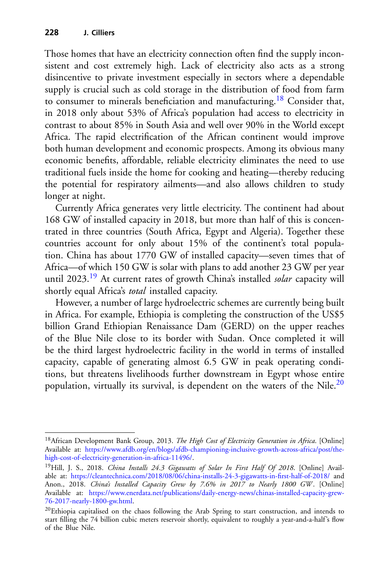Those homes that have an electricity connection often find the supply inconsistent and cost extremely high. Lack of electricity also acts as a strong disincentive to private investment especially in sectors where a dependable supply is crucial such as cold storage in the distribution of food from farm to consumer to minerals beneficiation and manufacturing[.18](#page-7-0) Consider that, in 2018 only about 53% of Africa's population had access to electricity in contrast to about 85% in South Asia and well over 90% in the World except Africa. The rapid electrification of the African continent would improve both human development and economic prospects. Among its obvious many economic benefits, affordable, reliable electricity eliminates the need to use traditional fuels inside the home for cooking and heating—thereby reducing the potential for respiratory ailments—and also allows children to study longer at night.

Currently Africa generates very little electricity. The continent had about 168 GW of installed capacity in 2018, but more than half of this is concentrated in three countries (South Africa, Egypt and Algeria). Together these countries account for only about 15% of the continent's total population. China has about 1770 GW of installed capacity—seven times that of Africa—of which 150 GW is solar with plans to add another 23 GW per year until 2023[.19](#page-7-1) At current rates of growth China's installed *solar* capacity will shortly equal Africa's *total* installed capacity.

However, a number of large hydroelectric schemes are currently being built in Africa. For example, Ethiopia is completing the construction of the US\$5 billion Grand Ethiopian Renaissance Dam (GERD) on the upper reaches of the Blue Nile close to its border with Sudan. Once completed it will be the third largest hydroelectric facility in the world in terms of installed capacity, capable of generating almost 6.5 GW in peak operating conditions, but threatens livelihoods further downstream in Egypt whose entire population, virtually its survival, is dependent on the waters of the Nile. $^{20}$ 

<span id="page-7-0"></span><sup>18</sup>African Development Bank Group, 2013. *The High Cost of Electricity Generation in Africa*. [Online] Available at: [https://www.afdb.org/en/blogs/afdb-championing-inclusive-growth-across-africa/post/the](https://www.afdb.org/en/blogs/afdb-championing-inclusive-growth-across-africa/post/the-high-cost-of-electricity-generation-in-africa-11496/)high-cost-of-electricity-generation-in-africa-11496/.

<span id="page-7-1"></span><sup>19</sup>Hill, J. S., 2018. *China Installs 24.3 Gigawatts of Solar In First Half Of 2018*. [Online] Available at: <https://cleantechnica.com/2018/08/06/china-installs-24-3-gigawatts-in-first-half-of-2018/> and Anon., 2018. *China's Installed Capacity Grew by 7.6% in 2017 to Nearly 1800 GW* . [Online] Available at: [https://www.enerdata.net/publications/daily-energy-news/chinas-installed-capacity-grew-](https://www.enerdata.net/publications/daily-energy-news/chinas-installed-capacity-grew-76-2017-nearly-1800-gw.html)76-2017-nearly-1800-gw.html.

<span id="page-7-2"></span><sup>&</sup>lt;sup>20</sup>Ethiopia capitalised on the chaos following the Arab Spring to start construction, and intends to start filling the 74 billion cubic meters reservoir shortly, equivalent to roughly a year-and-a-half's flow of the Blue Nile.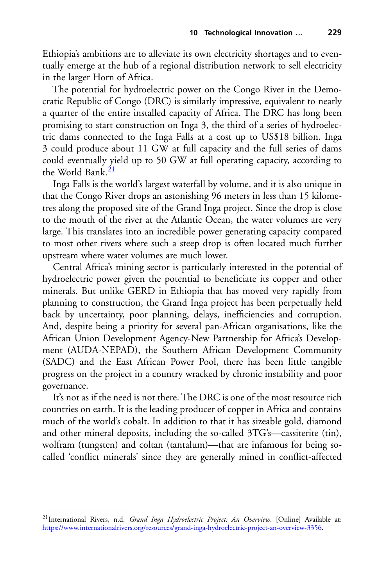Ethiopia's ambitions are to alleviate its own electricity shortages and to eventually emerge at the hub of a regional distribution network to sell electricity in the larger Horn of Africa.

The potential for hydroelectric power on the Congo River in the Democratic Republic of Congo (DRC) is similarly impressive, equivalent to nearly a quarter of the entire installed capacity of Africa. The DRC has long been promising to start construction on Inga 3, the third of a series of hydroelectric dams connected to the Inga Falls at a cost up to US\$18 billion. Inga 3 could produce about 11 GW at full capacity and the full series of dams could eventually yield up to 50 GW at full operating capacity, according to the World Bank.<sup>[21](#page-8-0)</sup>

Inga Falls is the world's largest waterfall by volume, and it is also unique in that the Congo River drops an astonishing 96 meters in less than 15 kilometres along the proposed site of the Grand Inga project. Since the drop is close to the mouth of the river at the Atlantic Ocean, the water volumes are very large. This translates into an incredible power generating capacity compared to most other rivers where such a steep drop is often located much further upstream where water volumes are much lower.

Central Africa's mining sector is particularly interested in the potential of hydroelectric power given the potential to beneficiate its copper and other minerals. But unlike GERD in Ethiopia that has moved very rapidly from planning to construction, the Grand Inga project has been perpetually held back by uncertainty, poor planning, delays, inefficiencies and corruption. And, despite being a priority for several pan-African organisations, like the African Union Development Agency-New Partnership for Africa's Development (AUDA-NEPAD), the Southern African Development Community (SADC) and the East African Power Pool, there has been little tangible progress on the project in a country wracked by chronic instability and poor governance.

It's not as if the need is not there. The DRC is one of the most resource rich countries on earth. It is the leading producer of copper in Africa and contains much of the world's cobalt. In addition to that it has sizeable gold, diamond and other mineral deposits, including the so-called 3TG's—cassiterite (tin), wolfram (tungsten) and coltan (tantalum)—that are infamous for being socalled 'conflict minerals' since they are generally mined in conflict-affected

<span id="page-8-0"></span><sup>21</sup>International Rivers, n.d. *Grand Inga Hydroelectric Project: An Overview*. [Online] Available at: [https://www.internationalrivers.org/resources/grand-inga-hydroelectric-project-an-overview-3356.](https://www.internationalrivers.org/resources/grand-inga-hydroelectric-project-an-overview-3356)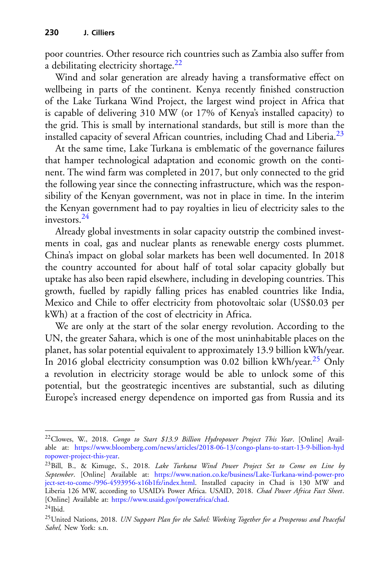poor countries. Other resource rich countries such as Zambia also suffer from a debilitating electricity shortage. $22$ 

Wind and solar generation are already having a transformative effect on wellbeing in parts of the continent. Kenya recently finished construction of the Lake Turkana Wind Project, the largest wind project in Africa that is capable of delivering 310 MW (or 17% of Kenya's installed capacity) to the grid. This is small by international standards, but still is more than the installed capacity of several African countries, including Chad and Liberia. $^{23}$  $^{23}$  $^{23}$ 

At the same time, Lake Turkana is emblematic of the governance failures that hamper technological adaptation and economic growth on the continent. The wind farm was completed in 2017, but only connected to the grid the following year since the connecting infrastructure, which was the responsibility of the Kenyan government, was not in place in time. In the interim the Kenyan government had to pay royalties in lieu of electricity sales to the investors[.24](#page-9-2)

Already global investments in solar capacity outstrip the combined investments in coal, gas and nuclear plants as renewable energy costs plummet. China's impact on global solar markets has been well documented. In 2018 the country accounted for about half of total solar capacity globally but uptake has also been rapid elsewhere, including in developing countries. This growth, fuelled by rapidly falling prices has enabled countries like India, Mexico and Chile to offer electricity from photovoltaic solar (US\$0.03 per kWh) at a fraction of the cost of electricity in Africa.

We are only at the start of the solar energy revolution. According to the UN, the greater Sahara, which is one of the most uninhabitable places on the planet, has solar potential equivalent to approximately 13.9 billion kWh/year. In 2016 global electricity consumption was 0.02 billion kWh/year.<sup>[25](#page-9-3)</sup> Only a revolution in electricity storage would be able to unlock some of this potential, but the geostrategic incentives are substantial, such as diluting Europe's increased energy dependence on imported gas from Russia and its

<span id="page-9-0"></span><sup>22</sup>Clowes, W., 2018. *Congo to Start \$13.9 Billion Hydropower Project This Year*. [Online] Available at: [https://www.bloomberg.com/news/articles/2018-06-13/congo-plans-to-start-13-9-billion-hyd](https://www.bloomberg.com/news/articles/2018-06-13/congo-plans-to-start-13-9-billion-hydropower-project-this-year) ropower-project-this-year.

<span id="page-9-1"></span><sup>23</sup>Bill, B., & Kimuge, S., 2018. *Lake Turkana Wind Power Project Set to Come on Line by September*. [Online] Available at: https://www.nation.co.ke/business/Lake-Turkana-wind-power-pro [ject-set-to-come-/996-4593956-x16b1fz/index.html. Installed capacity in Chad is 130 MW and](https://www.nation.co.ke/business/Lake-Turkana-wind-power-project-set-to-come-/996-4593956-x16b1fz/index.html) Liberia 126 MW, according to USAID's Power Africa. USAID, 2018. *Chad Power Africa Fact Sheet*. [Online] Available at: [https://www.usaid.gov/powerafrica/chad.](https://www.usaid.gov/powerafrica/chad)

<span id="page-9-2"></span> $^{24}$ Ibid.

<span id="page-9-3"></span><sup>25</sup>United Nations, 2018. *UN Support Plan for the Sahel: Working Together for a Prosperous and Peaceful Sahel,* New York: s.n.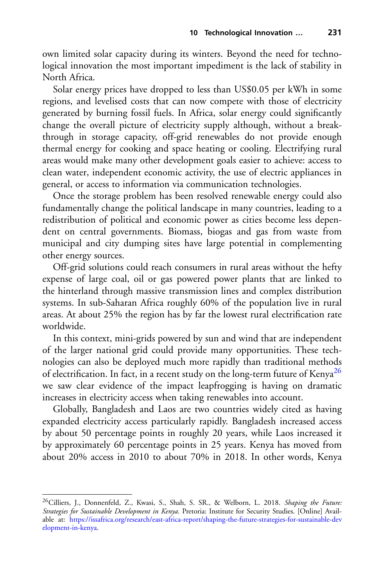own limited solar capacity during its winters. Beyond the need for technological innovation the most important impediment is the lack of stability in North Africa.

Solar energy prices have dropped to less than US\$0.05 per kWh in some regions, and levelised costs that can now compete with those of electricity generated by burning fossil fuels. In Africa, solar energy could significantly change the overall picture of electricity supply although, without a breakthrough in storage capacity, off-grid renewables do not provide enough thermal energy for cooking and space heating or cooling. Electrifying rural areas would make many other development goals easier to achieve: access to clean water, independent economic activity, the use of electric appliances in general, or access to information via communication technologies.

Once the storage problem has been resolved renewable energy could also fundamentally change the political landscape in many countries, leading to a redistribution of political and economic power as cities become less dependent on central governments. Biomass, biogas and gas from waste from municipal and city dumping sites have large potential in complementing other energy sources.

Off-grid solutions could reach consumers in rural areas without the hefty expense of large coal, oil or gas powered power plants that are linked to the hinterland through massive transmission lines and complex distribution systems. In sub-Saharan Africa roughly 60% of the population live in rural areas. At about 25% the region has by far the lowest rural electrification rate worldwide.

In this context, mini-grids powered by sun and wind that are independent of the larger national grid could provide many opportunities. These technologies can also be deployed much more rapidly than traditional methods of electrification. In fact, in a recent study on the long-term future of Kenya<sup>26</sup> we saw clear evidence of the impact leapfrogging is having on dramatic increases in electricity access when taking renewables into account.

Globally, Bangladesh and Laos are two countries widely cited as having expanded electricity access particularly rapidly. Bangladesh increased access by about 50 percentage points in roughly 20 years, while Laos increased it by approximately 60 percentage points in 25 years. Kenya has moved from about 20% access in 2010 to about 70% in 2018. In other words, Kenya

<span id="page-10-0"></span><sup>26</sup>Cilliers, J., Donnenfeld, Z., Kwasi, S., Shah, S. SR., & Welborn, L. 2018. *Shaping the Future: Strategies for Sustainable Development in Kenya*. Pretoria: Institute for Security Studies. [Online] Available at: [https://issafrica.org/research/east-africa-report/shaping-the-future-strategies-for-sustainable-dev](https://issafrica.org/research/east-africa-report/shaping-the-future-strategies-for-sustainable-development-in-kenya) elopment-in-kenya.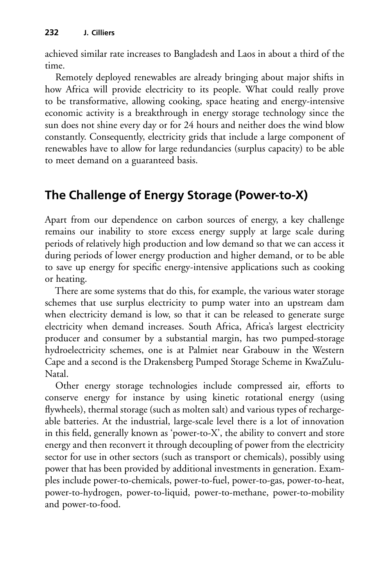achieved similar rate increases to Bangladesh and Laos in about a third of the time.

Remotely deployed renewables are already bringing about major shifts in how Africa will provide electricity to its people. What could really prove to be transformative, allowing cooking, space heating and energy-intensive economic activity is a breakthrough in energy storage technology since the sun does not shine every day or for 24 hours and neither does the wind blow constantly. Consequently, electricity grids that include a large component of renewables have to allow for large redundancies (surplus capacity) to be able to meet demand on a guaranteed basis.

# **The Challenge of Energy Storage (Power-to-X)**

Apart from our dependence on carbon sources of energy, a key challenge remains our inability to store excess energy supply at large scale during periods of relatively high production and low demand so that we can access it during periods of lower energy production and higher demand, or to be able to save up energy for specific energy-intensive applications such as cooking or heating.

There are some systems that do this, for example, the various water storage schemes that use surplus electricity to pump water into an upstream dam when electricity demand is low, so that it can be released to generate surge electricity when demand increases. South Africa, Africa's largest electricity producer and consumer by a substantial margin, has two pumped-storage hydroelectricity schemes, one is at Palmiet near Grabouw in the Western Cape and a second is the Drakensberg Pumped Storage Scheme in KwaZulu-Natal.

Other energy storage technologies include compressed air, efforts to conserve energy for instance by using kinetic rotational energy (using flywheels), thermal storage (such as molten salt) and various types of rechargeable batteries. At the industrial, large-scale level there is a lot of innovation in this field, generally known as 'power-to-X', the ability to convert and store energy and then reconvert it through decoupling of power from the electricity sector for use in other sectors (such as transport or chemicals), possibly using power that has been provided by additional investments in generation. Examples include power-to-chemicals, power-to-fuel, power-to-gas, power-to-heat, power-to-hydrogen, power-to-liquid, power-to-methane, power-to-mobility and power-to-food.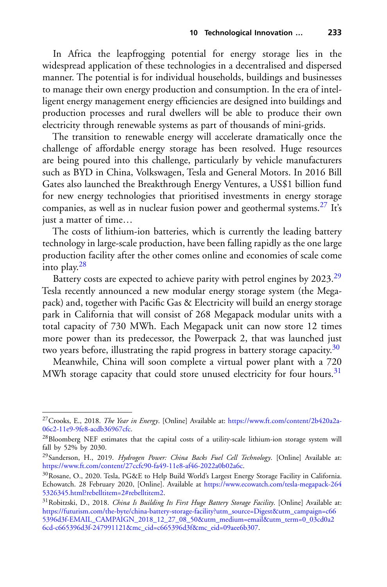In Africa the leapfrogging potential for energy storage lies in the widespread application of these technologies in a decentralised and dispersed manner. The potential is for individual households, buildings and businesses to manage their own energy production and consumption. In the era of intelligent energy management energy efficiencies are designed into buildings and production processes and rural dwellers will be able to produce their own electricity through renewable systems as part of thousands of mini-grids.

The transition to renewable energy will accelerate dramatically once the challenge of affordable energy storage has been resolved. Huge resources are being poured into this challenge, particularly by vehicle manufacturers such as BYD in China, Volkswagen, Tesla and General Motors. In 2016 Bill Gates also launched the Breakthrough Energy Ventures, a US\$1 billion fund for new energy technologies that prioritised investments in energy storage companies, as well as in nuclear fusion power and geothermal systems.<sup>[27](#page-12-0)</sup> It's just a matter of time…

The costs of lithium-ion batteries, which is currently the leading battery technology in large-scale production, have been falling rapidly as the one large production facility after the other comes online and economies of scale come into play[.28](#page-12-1)

Battery costs are expected to achieve parity with petrol engines by 2023.<sup>[29](#page-12-2)</sup> Tesla recently announced a new modular energy storage system (the Megapack) and, together with Pacific Gas & Electricity will build an energy storage park in California that will consist of 268 Megapack modular units with a total capacity of 730 MWh. Each Megapack unit can now store 12 times more power than its predecessor, the Powerpack 2, that was launched just two years before, illustrating the rapid progress in battery storage capacity.<sup>30</sup>

Meanwhile, China will soon complete a virtual power plant with a 720 MWh storage capacity that could store unused electricity for four hours.<sup>[31](#page-12-4)</sup>

<span id="page-12-0"></span><sup>27</sup>Crooks, E., 2018. *The Year in Energy*. [Online] Available at: [https://www.ft.com/content/2b420a2a-](https://www.ft.com/content/2b420a2a-06c2-11e9-9fe8-acdb36967cfc)06c2-11e9-9fe8-acdb36967cfc.

<span id="page-12-1"></span><sup>28</sup>Bloomberg NEF estimates that the capital costs of a utility-scale lithium-ion storage system will fall by 52% by 2030.

<span id="page-12-2"></span><sup>29</sup>Sanderson, H., 2019. *Hydrogen Power: China Backs Fuel Cell Technology*. [Online] Available at: [https://www.ft.com/content/27ccfc90-fa49-11e8-af46-2022a0b02a6c.](https://www.ft.com/content/27ccfc90-fa49-11e8-af46-2022a0b02a6c)

<span id="page-12-3"></span><sup>30</sup>Rosane, O., 2020. Tesla, PG&E to Help Build World's Largest Energy Storage Facility in California. [Echowatch. 28 February 2020, \[Online\]. Available at](https://www.ecowatch.com/tesla-megapack-2645326345.html%3frebelltitem%3d2#rebelltitem2) https://www.ecowatch.com/tesla-megapack-264 5326345.html?rebelltitem=2#rebelltitem2.

<span id="page-12-4"></span><sup>31</sup>Robitzski, D., 2018. *China Is Building Its First Huge Battery Storage Facility*. [Online] Available at: [https://futurism.com/the-byte/china-battery-storage-facility?utm\\_source=Digest&utm\\_campaign=c66](https://futurism.com/the-byte/china-battery-storage-facility%3futm_source%3dDigest%26utm_campaign%3dc665396d3f-EMAIL_CAMPAIGN_2018_12_27_08_50%26utm_medium%3demail%26utm_term%3d0_03cd0a26cd-c665396d3f-247991121%26mc_cid%3dc665396d3f%26mc_eid%3d09aee6b307) 5396d3f-EMAIL\_CAMPAIGN\_2018\_12\_27\_08\_50&utm\_medium=email&utm\_term=0\_03cd0a2 6cd-c665396d3f-247991121&mc\_cid=c665396d3f&mc\_eid=09aee6b307.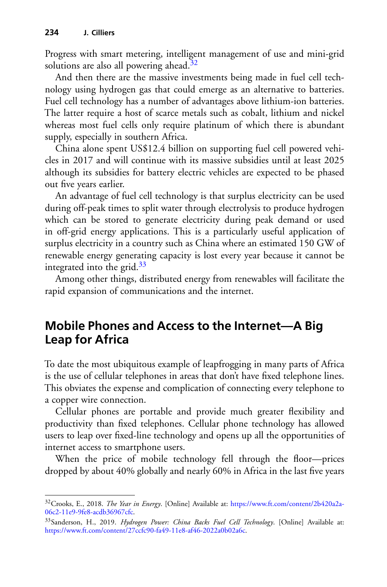Progress with smart metering, intelligent management of use and mini-grid solutions are also all powering ahead.<sup>[32](#page-13-0)</sup>

And then there are the massive investments being made in fuel cell technology using hydrogen gas that could emerge as an alternative to batteries. Fuel cell technology has a number of advantages above lithium-ion batteries. The latter require a host of scarce metals such as cobalt, lithium and nickel whereas most fuel cells only require platinum of which there is abundant supply, especially in southern Africa.

China alone spent US\$12.4 billion on supporting fuel cell powered vehicles in 2017 and will continue with its massive subsidies until at least 2025 although its subsidies for battery electric vehicles are expected to be phased out five years earlier.

An advantage of fuel cell technology is that surplus electricity can be used during off-peak times to split water through electrolysis to produce hydrogen which can be stored to generate electricity during peak demand or used in off-grid energy applications. This is a particularly useful application of surplus electricity in a country such as China where an estimated 150 GW of renewable energy generating capacity is lost every year because it cannot be integrated into the grid. $33$ 

Among other things, distributed energy from renewables will facilitate the rapid expansion of communications and the internet.

## **Mobile Phones and Access to the Internet—A Big Leap for Africa**

To date the most ubiquitous example of leapfrogging in many parts of Africa is the use of cellular telephones in areas that don't have fixed telephone lines. This obviates the expense and complication of connecting every telephone to a copper wire connection.

Cellular phones are portable and provide much greater flexibility and productivity than fixed telephones. Cellular phone technology has allowed users to leap over fixed-line technology and opens up all the opportunities of internet access to smartphone users.

When the price of mobile technology fell through the floor---prices dropped by about 40% globally and nearly 60% in Africa in the last five years

<span id="page-13-0"></span><sup>32</sup>Crooks, E., 2018. *The Year in Energy*. [Online] Available at: [https://www.ft.com/content/2b420a2a-](https://www.ft.com/content/2b420a2a-06c2-11e9-9fe8-acdb36967cfc)06c2-11e9-9fe8-acdb36967cfc.

<span id="page-13-1"></span><sup>33</sup>Sanderson, H., 2019. *Hydrogen Power: China Backs Fuel Cell Technology*. [Online] Available at: [https://www.ft.com/content/27ccfc90-fa49-11e8-af46-2022a0b02a6c.](https://www.ft.com/content/27ccfc90-fa49-11e8-af46-2022a0b02a6c)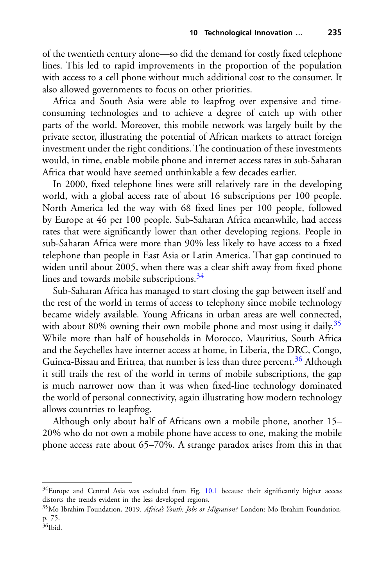of the twentieth century alone—so did the demand for costly fixed telephone lines. This led to rapid improvements in the proportion of the population with access to a cell phone without much additional cost to the consumer. It also allowed governments to focus on other priorities.

Africa and South Asia were able to leapfrog over expensive and timeconsuming technologies and to achieve a degree of catch up with other parts of the world. Moreover, this mobile network was largely built by the private sector, illustrating the potential of African markets to attract foreign investment under the right conditions. The continuation of these investments would, in time, enable mobile phone and internet access rates in sub-Saharan Africa that would have seemed unthinkable a few decades earlier.

In 2000, fixed telephone lines were still relatively rare in the developing world, with a global access rate of about 16 subscriptions per 100 people. North America led the way with 68 fixed lines per 100 people, followed by Europe at 46 per 100 people. Sub-Saharan Africa meanwhile, had access rates that were significantly lower than other developing regions. People in sub-Saharan Africa were more than 90% less likely to have access to a fixed telephone than people in East Asia or Latin America. That gap continued to widen until about 2005, when there was a clear shift away from fixed phone lines and towards mobile subscriptions.<sup>[34](#page-14-0)</sup>

Sub-Saharan Africa has managed to start closing the gap between itself and the rest of the world in terms of access to telephony since mobile technology became widely available. Young Africans in urban areas are well connected, with about 80% owning their own mobile phone and most using it daily.<sup>35</sup> While more than half of households in Morocco, Mauritius, South Africa and the Seychelles have internet access at home, in Liberia, the DRC, Congo, Guinea-Bissau and Eritrea, that number is less than three percent.<sup>[36](#page-14-2)</sup> Although it still trails the rest of the world in terms of mobile subscriptions, the gap is much narrower now than it was when fixed-line technology dominated the world of personal connectivity, again illustrating how modern technology allows countries to leapfrog.

Although only about half of Africans own a mobile phone, another 15– 20% who do not own a mobile phone have access to one, making the mobile phone access rate about 65–70%. A strange paradox arises from this in that

<span id="page-14-0"></span> $34$ Europe and Central Asia was excluded from Fig. [10.1](#page-22-0) because their significantly higher access distorts the trends evident in the less developed regions.

<span id="page-14-1"></span><sup>35</sup>Mo Ibrahim Foundation, 2019. *Africa's Youth: Jobs or Migration?* London: Mo Ibrahim Foundation, p. 75.

<span id="page-14-2"></span><sup>36</sup>Ibid.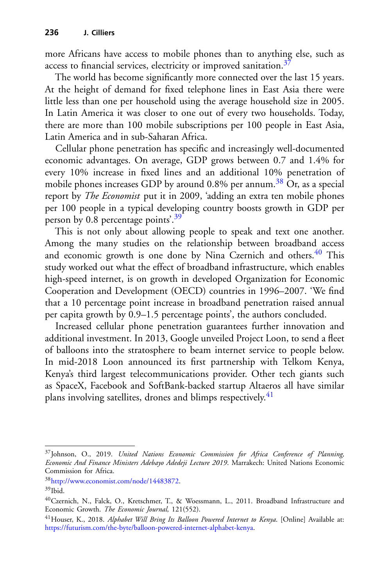more Africans have access to mobile phones than to anything else, such as access to financial services, electricity or improved sanitation.<sup>[37](#page-15-0)</sup>

The world has become significantly more connected over the last 15 years. At the height of demand for fixed telephone lines in East Asia there were little less than one per household using the average household size in 2005. In Latin America it was closer to one out of every two households. Today, there are more than 100 mobile subscriptions per 100 people in East Asia, Latin America and in sub-Saharan Africa.

Cellular phone penetration has specific and increasingly well-documented economic advantages. On average, GDP grows between 0.7 and 1.4% for every 10% increase in fixed lines and an additional 10% penetration of mobile phones increases GDP by around  $0.8\%$  per annum.<sup>[38](#page-15-1)</sup> Or, as a special report by *The Economist* put it in 2009, 'adding an extra ten mobile phones per 100 people in a typical developing country boosts growth in GDP per person by  $0.\overline{8}$  percentage points<sup>'[.39](#page-15-2)</sup>

This is not only about allowing people to speak and text one another. Among the many studies on the relationship between broadband access and economic growth is one done by Nina Czernich and others.<sup>[40](#page-15-3)</sup> This study worked out what the effect of broadband infrastructure, which enables high-speed internet, is on growth in developed Organization for Economic Cooperation and Development (OECD) countries in 1996–2007. 'We find that a 10 percentage point increase in broadband penetration raised annual per capita growth by 0.9–1.5 percentage points', the authors concluded.

Increased cellular phone penetration guarantees further innovation and additional investment. In 2013, Google unveiled Project Loon, to send a fleet of balloons into the stratosphere to beam internet service to people below. In mid-2018 Loon announced its first partnership with Telkom Kenya, Kenya's third largest telecommunications provider. Other tech giants such as SpaceX, Facebook and SoftBank-backed startup Altaeros all have similar plans involving satellites, drones and blimps respectively.<sup>[41](#page-15-4)</sup>

<span id="page-15-0"></span><sup>37</sup>Johnson, O., 2019. *United Nations Economic Commission for Africa Conference of Planning, Economic And Finance Ministers Adebayo Adedeji Lecture 2019*. Marrakech: United Nations Economic Commission for Africa.

<span id="page-15-1"></span><sup>3</sup>[8http://www.economist.com/node/14483872.](http://www.economist.com/node/14483872)

<span id="page-15-2"></span> $39$ Ibid.

<span id="page-15-3"></span><sup>40</sup>Czernich, N., Falck, O., Kretschmer, T., & Woessmann, L., 2011. Broadband Infrastructure and Economic Growth. *The Economic Journal,* 121(552).

<span id="page-15-4"></span><sup>41</sup>Houser, K., 2018. *Alphabet Will Bring Its Balloon Powered Internet to Kenya*. [Online] Available at: [https://futurism.com/the-byte/balloon-powered-internet-alphabet-kenya.](https://futurism.com/the-byte/balloon-powered-internet-alphabet-kenya)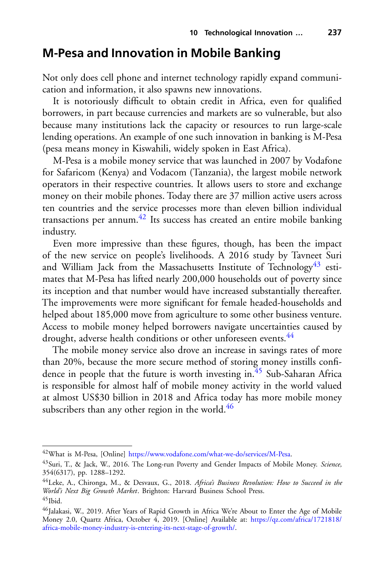## **M-Pesa and Innovation in Mobile Banking**

Not only does cell phone and internet technology rapidly expand communication and information, it also spawns new innovations.

It is notoriously difficult to obtain credit in Africa, even for qualified borrowers, in part because currencies and markets are so vulnerable, but also because many institutions lack the capacity or resources to run large-scale lending operations. An example of one such innovation in banking is M-Pesa (pesa means money in Kiswahili, widely spoken in East Africa).

M-Pesa is a mobile money service that was launched in 2007 by Vodafone for Safaricom (Kenya) and Vodacom (Tanzania), the largest mobile network operators in their respective countries. It allows users to store and exchange money on their mobile phones. Today there are 37 million active users across ten countries and the service processes more than eleven billion individual transactions per annum.<sup>[42](#page-16-0)</sup> Its success has created an entire mobile banking industry.

Even more impressive than these figures, though, has been the impact of the new service on people's livelihoods. A 2016 study by Tavneet Suri and William Jack from the Massachusetts Institute of Technology<sup>43</sup> estimates that M-Pesa has lifted nearly 200,000 households out of poverty since its inception and that number would have increased substantially thereafter. The improvements were more significant for female headed-households and helped about 185,000 move from agriculture to some other business venture. Access to mobile money helped borrowers navigate uncertainties caused by drought, adverse health conditions or other unforeseen events.<sup>[44](#page-16-2)</sup>

The mobile money service also drove an increase in savings rates of more than 20%, because the more secure method of storing money instills confidence in people that the future is worth investing in. $45$  Sub-Saharan Africa is responsible for almost half of mobile money activity in the world valued at almost US\$30 billion in 2018 and Africa today has more mobile money subscribers than any other region in the world.<sup>46</sup>

<span id="page-16-0"></span><sup>42</sup>What is M-Pesa, [Online] [https://www.vodafone.com/what-we-do/services/M-Pesa.](https://www.vodafone.com/what-we-do/services/M-Pesa)

<span id="page-16-1"></span><sup>43</sup>Suri, T., & Jack, W., 2016. The Long-run Poverty and Gender Impacts of Mobile Money. *Science,* 354(6317), pp. 1288–1292.

<span id="page-16-2"></span><sup>44</sup>Leke, A., Chironga, M., & Desvaux, G., 2018. *Africa's Business Revolution: How to Succeed in the World's Next Big Growth Market*. Brighton: Harvard Business School Press.  $45$ Ibid.

<span id="page-16-4"></span><span id="page-16-3"></span><sup>&</sup>lt;sup>46</sup>Jalakasi, W., 2019. After Years of Rapid Growth in Africa We're About to Enter the Age of Mobile [Money 2.0, Quartz Africa, October 4, 2019. \[Online\] Available at:](https://qz.com/africa/1721818/africa-mobile-money-industry-is-entering-its-next-stage-of-growth/) https://qz.com/africa/1721818/ africa-mobile-money-industry-is-entering-its-next-stage-of-growth/.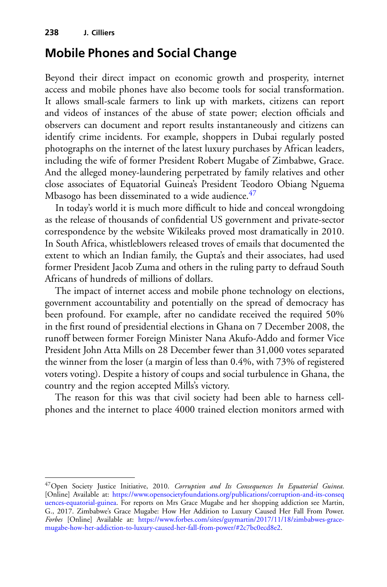## **Mobile Phones and Social Change**

Beyond their direct impact on economic growth and prosperity, internet access and mobile phones have also become tools for social transformation. It allows small-scale farmers to link up with markets, citizens can report and videos of instances of the abuse of state power; election officials and observers can document and report results instantaneously and citizens can identify crime incidents. For example, shoppers in Dubai regularly posted photographs on the internet of the latest luxury purchases by African leaders, including the wife of former President Robert Mugabe of Zimbabwe, Grace. And the alleged money-laundering perpetrated by family relatives and other close associates of Equatorial Guinea's President Teodoro Obiang Nguema Mbasogo has been disseminated to a wide audience. $47$ 

In today's world it is much more difficult to hide and conceal wrongdoing as the release of thousands of confidential US government and private-sector correspondence by the website Wikileaks proved most dramatically in 2010. In South Africa, whistleblowers released troves of emails that documented the extent to which an Indian family, the Gupta's and their associates, had used former President Jacob Zuma and others in the ruling party to defraud South Africans of hundreds of millions of dollars.

The impact of internet access and mobile phone technology on elections, government accountability and potentially on the spread of democracy has been profound. For example, after no candidate received the required 50% in the first round of presidential elections in Ghana on 7 December 2008, the runoff between former Foreign Minister Nana Akufo-Addo and former Vice President John Atta Mills on 28 December fewer than 31,000 votes separated the winner from the loser (a margin of less than 0.4%, with 73% of registered voters voting). Despite a history of coups and social turbulence in Ghana, the country and the region accepted Mills's victory.

The reason for this was that civil society had been able to harness cellphones and the internet to place 4000 trained election monitors armed with

<span id="page-17-0"></span><sup>47</sup>Open Society Justice Initiative, 2010. *Corruption and Its Consequences In Equatorial Guinea*. [Online] Available at: https://www.opensocietyfoundations.org/publications/corruption-and-its-conseq [uences-equatorial-guinea. For reports on Mrs Grace Mugabe and her shopping addiction see Martin,](https://www.opensocietyfoundations.org/publications/corruption-and-its-consequences-equatorial-guinea) G., 2017. Zimbabwe's Grace Mugabe: How Her Addition to Luxury Caused Her Fall From Power. *Forbes* [Online] Available at: https://www.forbes.com/sites/guymartin/2017/11/18/zimbabwes-grace[mugabe-how-her-addiction-to-luxury-caused-her-fall-from-power/#2c7bc0ecd8e2.](https://www.forbes.com/sites/guymartin/2017/11/18/zimbabwes-grace-mugabe-how-her-addiction-to-luxury-caused-her-fall-from-power/#2c7bc0ecd8e2)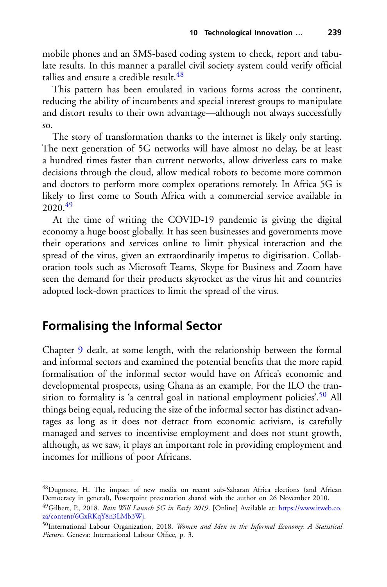mobile phones and an SMS-based coding system to check, report and tabulate results. In this manner a parallel civil society system could verify official tallies and ensure a credible result.  $48$ 

This pattern has been emulated in various forms across the continent, reducing the ability of incumbents and special interest groups to manipulate and distort results to their own advantage—although not always successfully so.

The story of transformation thanks to the internet is likely only starting. The next generation of 5G networks will have almost no delay, be at least a hundred times faster than current networks, allow driverless cars to make decisions through the cloud, allow medical robots to become more common and doctors to perform more complex operations remotely. In Africa 5G is likely to first come to South Africa with a commercial service available in 2020<sup>49</sup>

At the time of writing the COVID-19 pandemic is giving the digital economy a huge boost globally. It has seen businesses and governments move their operations and services online to limit physical interaction and the spread of the virus, given an extraordinarily impetus to digitisation. Collaboration tools such as Microsoft Teams, Skype for Business and Zoom have seen the demand for their products skyrocket as the virus hit and countries adopted lock-down practices to limit the spread of the virus.

### **Formalising the Informal Sector**

Chapter 9 dealt, at some length, with the relationship between the formal and informal sectors and examined the potential benefits that the more rapid formalisation of the informal sector would have on Africa's economic and developmental prospects, using Ghana as an example. For the ILO the transition to formality is 'a central goal in national employment policies'.<sup>50</sup> All things being equal, reducing the size of the informal sector has distinct advantages as long as it does not detract from economic activism, is carefully managed and serves to incentivise employment and does not stunt growth, although, as we saw, it plays an important role in providing employment and incomes for millions of poor Africans.

<span id="page-18-0"></span><sup>48</sup>Dugmore, H. The impact of new media on recent sub-Saharan Africa elections (and African Democracy in general), Powerpoint presentation shared with the author on 26 November 2010.

<span id="page-18-1"></span><sup>49</sup>Gilbert, P., 2018. *[Rain Will Launch 5G in Early 2019](https://www.itweb.co.za/content/6GxRKqY8n3LMb3Wj)*. [Online] Available at: https://www.itweb.co. za/content/6GxRKqY8n3LMb3Wj.

<span id="page-18-2"></span><sup>50</sup>International Labour Organization, 2018. *Women and Men in the Informal Economy: A Statistical Picture*. Geneva: International Labour Office, p. 3.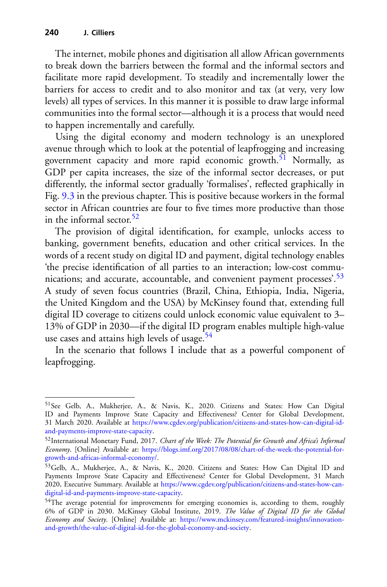The internet, mobile phones and digitisation all allow African governments to break down the barriers between the formal and the informal sectors and facilitate more rapid development. To steadily and incrementally lower the barriers for access to credit and to also monitor and tax (at very, very low levels) all types of services. In this manner it is possible to draw large informal communities into the formal sector—although it is a process that would need to happen incrementally and carefully.

Using the digital economy and modern technology is an unexplored avenue through which to look at the potential of leapfrogging and increasing government capacity and more rapid economic growth.<sup>51</sup> Normally, as GDP per capita increases, the size of the informal sector decreases, or put differently, the informal sector gradually 'formalises', reflected graphically in Fig. 9.3 in the previous chapter. This is positive because workers in the formal sector in African countries are four to five times more productive than those in the informal sector.<sup>[52](#page-19-1)</sup>

The provision of digital identification, for example, unlocks access to banking, government benefits, education and other critical services. In the words of a recent study on digital ID and payment, digital technology enables 'the precise identification of all parties to an interaction; low-cost commu-nications; and accurate, accountable, and convenient payment processes<sup>'.[53](#page-19-2)</sup> A study of seven focus countries (Brazil, China, Ethiopia, India, Nigeria, the United Kingdom and the USA) by McKinsey found that, extending full digital ID coverage to citizens could unlock economic value equivalent to 3– 13% of GDP in 2030—if the digital ID program enables multiple high-value use cases and attains high levels of usage. $54$ 

In the scenario that follows I include that as a powerful component of leapfrogging.

<span id="page-19-0"></span><sup>51</sup>See Gelb, A., Mukherjee, A., & Navis, K., 2020. Citizens and States: How Can Digital ID and Payments Improve State Capacity and Effectiveness? Center for Global Development, 31 March 2020. Available at [https://www.cgdev.org/publication/citizens-and-states-how-can-digital-id](https://www.cgdev.org/publication/citizens-and-states-how-can-digital-id-and-payments-improve-state-capacity)and-payments-improve-state-capacity.

<span id="page-19-1"></span><sup>52</sup>International Monetary Fund, 2017. *Chart of the Week: The Potential for Growth and Africa's Informal Economy*. [Online] Available at: [https://blogs.imf.org/2017/08/08/chart-of-the-week-the-potential-for](https://blogs.imf.org/2017/08/08/chart-of-the-week-the-potential-for-growth-and-africas-informal-economy/)growth-and-africas-informal-economy/.

<span id="page-19-2"></span><sup>53</sup>Gelb, A., Mukherjee, A., & Navis, K., 2020. Citizens and States: How Can Digital ID and Payments Improve State Capacity and Effectiveness? Center for Global Development, 31 March 2020, Executive Summary. Available at [https://www.cgdev.org/publication/citizens-and-states-how-can](https://www.cgdev.org/publication/citizens-and-states-how-can-digital-id-and-payments-improve-state-capacity)digital-id-and-payments-improve-state-capacity.

<span id="page-19-3"></span><sup>&</sup>lt;sup>54</sup>The average potential for improvements for emerging economies is, according to them, roughly 6% of GDP in 2030. McKinsey Global Institute, 2019. *The Value of Digital ID for the Global Economy and Society*. [Online] Available at: https://www.mckinsey.com/featured-insights/innovation[and-growth/the-value-of-digital-id-for-the-global-economy-and-society.](https://www.mckinsey.com/featured-insights/innovation-and-growth/the-value-of-digital-id-for-the-global-economy-and-society)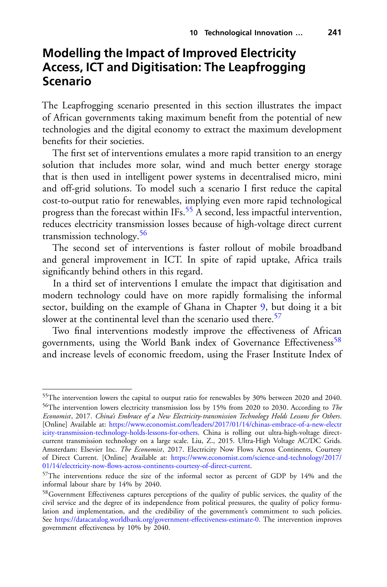## **Modelling the Impact of Improved Electricity Access, ICT and Digitisation: The Leapfrogging Scenario**

The Leapfrogging scenario presented in this section illustrates the impact of African governments taking maximum benefit from the potential of new technologies and the digital economy to extract the maximum development benefits for their societies.

The first set of interventions emulates a more rapid transition to an energy solution that includes more solar, wind and much better energy storage that is then used in intelligent power systems in decentralised micro, mini and off-grid solutions. To model such a scenario I first reduce the capital cost-to-output ratio for renewables, implying even more rapid technological progress than the forecast within IFs.<sup>55</sup> A second, less impactful intervention, reduces electricity transmission losses because of high-voltage direct current transmission technology.[56](#page-20-1)

The second set of interventions is faster rollout of mobile broadband and general improvement in ICT. In spite of rapid uptake, Africa trails significantly behind others in this regard.

In a third set of interventions I emulate the impact that digitisation and modern technology could have on more rapidly formalising the informal sector, building on the example of Ghana in Chapter 9, but doing it a bit slower at the continental level than the scenario used there.<sup>[57](#page-20-2)</sup>

Two final interventions modestly improve the effectiveness of African governments, using the World Bank index of Governance Effectiveness<sup>[58](#page-20-3)</sup> and increase levels of economic freedom, using the Fraser Institute Index of

<span id="page-20-0"></span><sup>&</sup>lt;sup>55</sup>The intervention lowers the capital to output ratio for renewables by 30% between 2020 and 2040.

<span id="page-20-1"></span><sup>56</sup>The intervention lowers electricity transmission loss by 15% from 2020 to 2030. According to *The Economist*, 2017. *China's Embrace of a New Electricity*-*transmission Technology Holds Lessons for Others*. [Online] Available at: https://www.economist.com/leaders/2017/01/14/chinas-embrace-of-a-new-electr [icity-transmission-technology-holds-lessons-for-others. China is rolling out ultra-high-voltage direct](https://www.economist.com/leaders/2017/01/14/chinas-embrace-of-a-new-electricity-transmission-technology-holds-lessons-for-others)current transmission technology on a large scale. Liu, Z., 2015. Ultra-High Voltage AC/DC Grids. Amsterdam: Elsevier Inc. *The Economist*, 2017. Electricity Now Flows Across Continents, Courtesy of Direct Current. [Online] Available at: https://www.economist.com/science-and-technology/2017/ [01/14/electricity-now-flows-across-continents-courtesy-of-direct-current.](https://www.economist.com/science-and-technology/2017/01/14/electricity-now-flows-across-continents-courtesy-of-direct-current)

<span id="page-20-2"></span><sup>57</sup>The interventions reduce the size of the informal sector as percent of GDP by 14% and the informal labour share by 14% by 2040.

<span id="page-20-3"></span><sup>&</sup>lt;sup>58</sup>Government Effectiveness captures perceptions of the quality of public services, the quality of the civil service and the degree of its independence from political pressures, the quality of policy formulation and implementation, and the credibility of the government's commitment to such policies. See [https://datacatalog.worldbank.org/government-effectiveness-estimate-0.](https://datacatalog.worldbank.org/government-effectiveness-estimate-0) The intervention improves government effectiveness by 10% by 2040.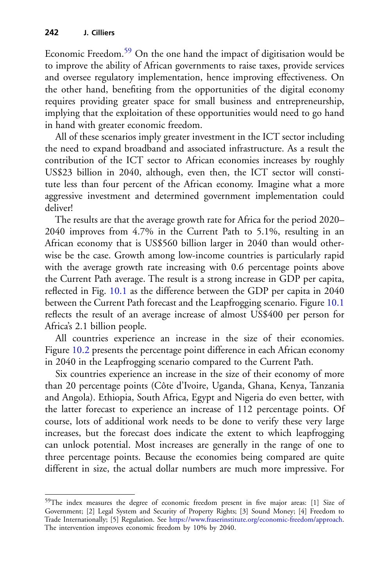Economic Freedom.<sup>[59](#page-21-0)</sup> On the one hand the impact of digitisation would be to improve the ability of African governments to raise taxes, provide services and oversee regulatory implementation, hence improving effectiveness. On the other hand, benefiting from the opportunities of the digital economy requires providing greater space for small business and entrepreneurship, implying that the exploitation of these opportunities would need to go hand in hand with greater economic freedom.

All of these scenarios imply greater investment in the ICT sector including the need to expand broadband and associated infrastructure. As a result the contribution of the ICT sector to African economies increases by roughly US\$23 billion in 2040, although, even then, the ICT sector will constitute less than four percent of the African economy. Imagine what a more aggressive investment and determined government implementation could deliver!

The results are that the average growth rate for Africa for the period 2020– 2040 improves from 4.7% in the Current Path to 5.1%, resulting in an African economy that is US\$560 billion larger in 2040 than would otherwise be the case. Growth among low-income countries is particularly rapid with the average growth rate increasing with 0.6 percentage points above the Current Path average. The result is a strong increase in GDP per capita, reflected in Fig. [10.1](#page-22-0) as the difference between the GDP per capita in 2040 between the Current Path forecast and the Leapfrogging scenario. Figure [10.1](#page-22-0) reflects the result of an average increase of almost US\$400 per person for Africa's 2.1 billion people.

All countries experience an increase in the size of their economies. Figure [10.2](#page-23-0) presents the percentage point difference in each African economy in 2040 in the Leapfrogging scenario compared to the Current Path.

Six countries experience an increase in the size of their economy of more than 20 percentage points (Côte d'Ivoire, Uganda, Ghana, Kenya, Tanzania and Angola). Ethiopia, South Africa, Egypt and Nigeria do even better, with the latter forecast to experience an increase of 112 percentage points. Of course, lots of additional work needs to be done to verify these very large increases, but the forecast does indicate the extent to which leapfrogging can unlock potential. Most increases are generally in the range of one to three percentage points. Because the economies being compared are quite different in size, the actual dollar numbers are much more impressive. For

<span id="page-21-0"></span><sup>59</sup>The index measures the degree of economic freedom present in five major areas: [1] Size of Government; [2] Legal System and Security of Property Rights; [3] Sound Money; [4] Freedom to Trade Internationally; [5] Regulation. See [https://www.fraserinstitute.org/economic-freedom/approach.](https://www.fraserinstitute.org/economic-freedom/approach) The intervention improves economic freedom by 10% by 2040.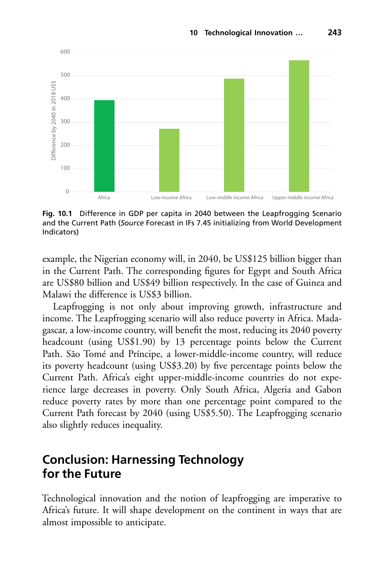

<span id="page-22-0"></span>**Fig. 10.1** Difference in GDP per capita in 2040 between the Leapfrogging Scenario and the Current Path (*Source* Forecast in IFs 7.45 initializing from World Development Indicators)

example, the Nigerian economy will, in 2040, be US\$125 billion bigger than in the Current Path. The corresponding figures for Egypt and South Africa are US\$80 billion and US\$49 billion respectively. In the case of Guinea and Malawi the difference is US\$3 billion.

Leapfrogging is not only about improving growth, infrastructure and income. The Leapfrogging scenario will also reduce poverty in Africa. Madagascar, a low-income country, will benefit the most, reducing its 2040 poverty headcount (using US\$1.90) by 13 percentage points below the Current Path. São Tomé and Príncipe, a lower-middle-income country, will reduce its poverty headcount (using US\$3.20) by five percentage points below the Current Path. Africa's eight upper-middle-income countries do not experience large decreases in poverty. Only South Africa, Algeria and Gabon reduce poverty rates by more than one percentage point compared to the Current Path forecast by 2040 (using US\$5.50). The Leapfrogging scenario also slightly reduces inequality.

## **Conclusion: Harnessing Technology for the Future**

Technological innovation and the notion of leapfrogging are imperative to Africa's future. It will shape development on the continent in ways that are almost impossible to anticipate.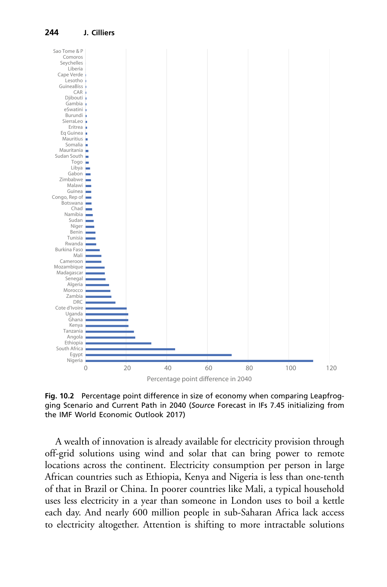

<span id="page-23-0"></span>**Fig. 10.2** Percentage point difference in size of economy when comparing Leapfrogging Scenario and Current Path in 2040 (*Source* Forecast in IFs 7.45 initializing from the IMF World Economic Outlook 2017)

A wealth of innovation is already available for electricity provision through off-grid solutions using wind and solar that can bring power to remote locations across the continent. Electricity consumption per person in large African countries such as Ethiopia, Kenya and Nigeria is less than one-tenth of that in Brazil or China. In poorer countries like Mali, a typical household uses less electricity in a year than someone in London uses to boil a kettle each day. And nearly 600 million people in sub-Saharan Africa lack access to electricity altogether. Attention is shifting to more intractable solutions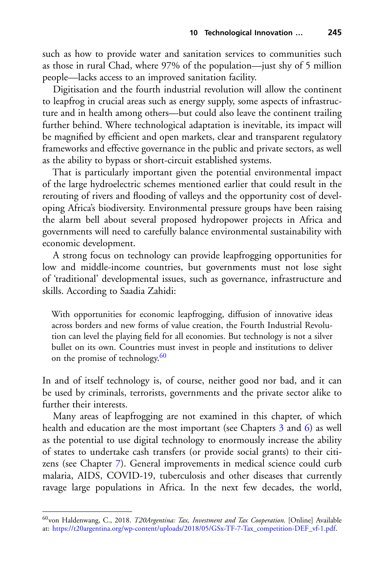such as how to provide water and sanitation services to communities such as those in rural Chad, where 97% of the population—just shy of 5 million people—lacks access to an improved sanitation facility.

Digitisation and the fourth industrial revolution will allow the continent to leapfrog in crucial areas such as energy supply, some aspects of infrastructure and in health among others—but could also leave the continent trailing further behind. Where technological adaptation is inevitable, its impact will be magnified by efficient and open markets, clear and transparent regulatory frameworks and effective governance in the public and private sectors, as well as the ability to bypass or short-circuit established systems.

That is particularly important given the potential environmental impact of the large hydroelectric schemes mentioned earlier that could result in the rerouting of rivers and flooding of valleys and the opportunity cost of developing Africa's biodiversity. Environmental pressure groups have been raising the alarm bell about several proposed hydropower projects in Africa and governments will need to carefully balance environmental sustainability with economic development.

A strong focus on technology can provide leapfrogging opportunities for low and middle-income countries, but governments must not lose sight of 'traditional' developmental issues, such as governance, infrastructure and skills. According to Saadia Zahidi:

With opportunities for economic leapfrogging, diffusion of innovative ideas across borders and new forms of value creation, the Fourth Industrial Revolution can level the playing field for all economies. But technology is not a silver bullet on its own. Countries must invest in people and institutions to deliver on the promise of technology. $60$ 

In and of itself technology is, of course, neither good nor bad, and it can be used by criminals, terrorists, governments and the private sector alike to further their interests.

Many areas of leapfrogging are not examined in this chapter, of which health and education are the most important (see Chapters 3 and 6) as well as the potential to use digital technology to enormously increase the ability of states to undertake cash transfers (or provide social grants) to their citizens (see Chapter 7). General improvements in medical science could curb malaria, AIDS, COVID-19, tuberculosis and other diseases that currently ravage large populations in Africa. In the next few decades, the world,

<span id="page-24-0"></span><sup>60</sup>von Haldenwang, C., 2018. *T20Argentina: Tax, Investment and Tax Cooperation*. [Online] Available at: [https://t20argentina.org/wp-content/uploads/2018/05/GSx-TF-7-Tax\\_competition-DEF\\_vf-1.pdf.](https://t20argentina.org/wp-content/uploads/2018/05/GSx-TF-7-Tax_competition-DEF_vf-1.pdf)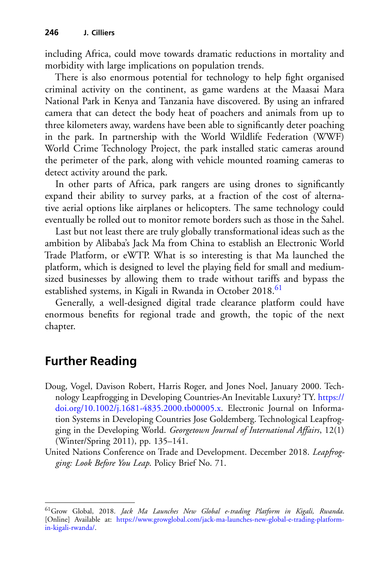including Africa, could move towards dramatic reductions in mortality and morbidity with large implications on population trends.

There is also enormous potential for technology to help fight organised criminal activity on the continent, as game wardens at the Maasai Mara National Park in Kenya and Tanzania have discovered. By using an infrared camera that can detect the body heat of poachers and animals from up to three kilometers away, wardens have been able to significantly deter poaching in the park. In partnership with the World Wildlife Federation (WWF) World Crime Technology Project, the park installed static cameras around the perimeter of the park, along with vehicle mounted roaming cameras to detect activity around the park.

In other parts of Africa, park rangers are using drones to significantly expand their ability to survey parks, at a fraction of the cost of alternative aerial options like airplanes or helicopters. The same technology could eventually be rolled out to monitor remote borders such as those in the Sahel.

Last but not least there are truly globally transformational ideas such as the ambition by Alibaba's Jack Ma from China to establish an Electronic World Trade Platform, or eWTP. What is so interesting is that Ma launched the platform, which is designed to level the playing field for small and mediumsized businesses by allowing them to trade without tariffs and bypass the established systems, in Kigali in Rwanda in October 2018.<sup>[61](#page-25-0)</sup>

Generally, a well-designed digital trade clearance platform could have enormous benefits for regional trade and growth, the topic of the next chapter.

## **Further Reading**

- Doug, Vogel, Davison Robert, Harris Roger, and Jones Noel, January 2000. Technology Leapfrogging in Developing Countries-An Inevitable Luxury? TY. https:// [doi.org/10.1002/j.1681-4835.2000.tb00005.x. Electronic Journal on Informa](https://doi.org/10.1002/j.1681-4835.2000.tb00005.x)tion Systems in Developing Countries Jose Goldemberg. Technological Leapfrogging in the Developing World. *Georgetown Journal of International Affairs*, 12(1) (Winter/Spring 2011), pp. 135–141.
- United Nations Conference on Trade and Development. December 2018. *Leapfrogging: Look Before You Leap*. Policy Brief No. 71.

<span id="page-25-0"></span><sup>61</sup>Grow Global, 2018. *Jack Ma Launches New Global e*-*trading Platform in Kigali, Rwanda*. [Online] Available at: [https://www.growglobal.com/jack-ma-launches-new-global-e-trading-platform](https://www.growglobal.com/jack-ma-launches-new-global-e-trading-platform-in-kigali-rwanda/)in-kigali-rwanda/.